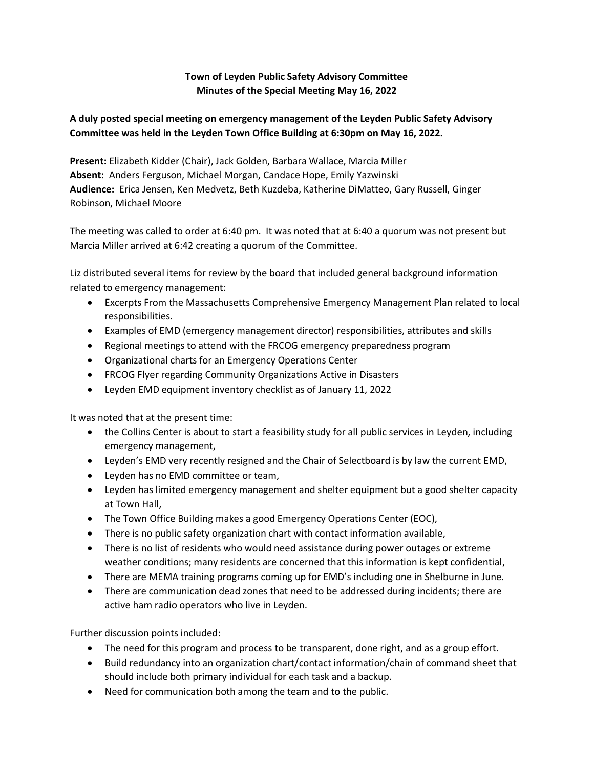## **Town of Leyden Public Safety Advisory Committee Minutes of the Special Meeting May 16, 2022**

## **A duly posted special meeting on emergency management of the Leyden Public Safety Advisory Committee was held in the Leyden Town Office Building at 6:30pm on May 16, 2022.**

**Present:** Elizabeth Kidder (Chair), Jack Golden, Barbara Wallace, Marcia Miller **Absent:** Anders Ferguson, Michael Morgan, Candace Hope, Emily Yazwinski **Audience:** Erica Jensen, Ken Medvetz, Beth Kuzdeba, Katherine DiMatteo, Gary Russell, Ginger Robinson, Michael Moore

The meeting was called to order at 6:40 pm. It was noted that at 6:40 a quorum was not present but Marcia Miller arrived at 6:42 creating a quorum of the Committee.

Liz distributed several items for review by the board that included general background information related to emergency management:

- Excerpts From the Massachusetts Comprehensive Emergency Management Plan related to local responsibilities.
- Examples of EMD (emergency management director) responsibilities, attributes and skills
- Regional meetings to attend with the FRCOG emergency preparedness program
- Organizational charts for an Emergency Operations Center
- FRCOG Flyer regarding Community Organizations Active in Disasters
- Leyden EMD equipment inventory checklist as of January 11, 2022

It was noted that at the present time:

- the Collins Center is about to start a feasibility study for all public services in Leyden, including emergency management,
- Leyden's EMD very recently resigned and the Chair of Selectboard is by law the current EMD,
- Leyden has no EMD committee or team,
- Leyden has limited emergency management and shelter equipment but a good shelter capacity at Town Hall,
- The Town Office Building makes a good Emergency Operations Center (EOC),
- There is no public safety organization chart with contact information available,
- There is no list of residents who would need assistance during power outages or extreme weather conditions; many residents are concerned that this information is kept confidential,
- There are MEMA training programs coming up for EMD's including one in Shelburne in June.
- There are communication dead zones that need to be addressed during incidents; there are active ham radio operators who live in Leyden.

Further discussion points included:

- The need for this program and process to be transparent, done right, and as a group effort.
- Build redundancy into an organization chart/contact information/chain of command sheet that should include both primary individual for each task and a backup.
- Need for communication both among the team and to the public.